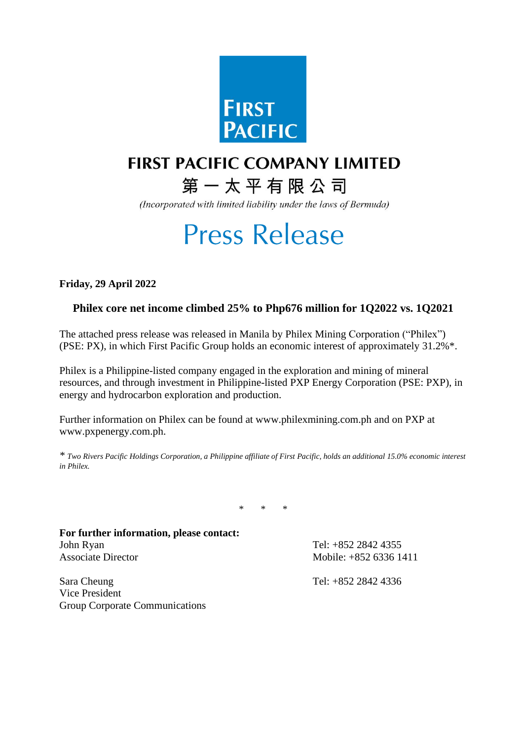

## **FIRST PACIFIC COMPANY LIMITED**

# 第一太平有限公司

(Incorporated with limited liability under the laws of Bermuda)

# **Press Release**

**Friday, 29 April 2022**

Group Corporate Communications

### **Philex core net income climbed 25% to Php676 million for 1Q2022 vs. 1Q2021**

The attached press release was released in Manila by Philex Mining Corporation ("Philex") (PSE: PX), in which First Pacific Group holds an economic interest of approximately 31.2%\*.

Philex is a Philippine-listed company engaged in the exploration and mining of mineral resources, and through investment in Philippine-listed PXP Energy Corporation (PSE: PXP), in energy and hydrocarbon exploration and production.

Further information on Philex can be found at www.philexmining.com.ph and on PXP at www.pxpenergy.com.ph.

*\* Two Rivers Pacific Holdings Corporation, a Philippine affiliate of First Pacific, holds an additional 15.0% economic interest in Philex.*

 $\star$ 

| For further information, please contact: |                        |  |  |  |  |  |  |
|------------------------------------------|------------------------|--|--|--|--|--|--|
| John Ryan                                | Tel: +852 2842 4355    |  |  |  |  |  |  |
| <b>Associate Director</b>                | Mobile: $+85263361411$ |  |  |  |  |  |  |
| Sara Cheung                              | Tel: +852 2842 4336    |  |  |  |  |  |  |
| Vice President                           |                        |  |  |  |  |  |  |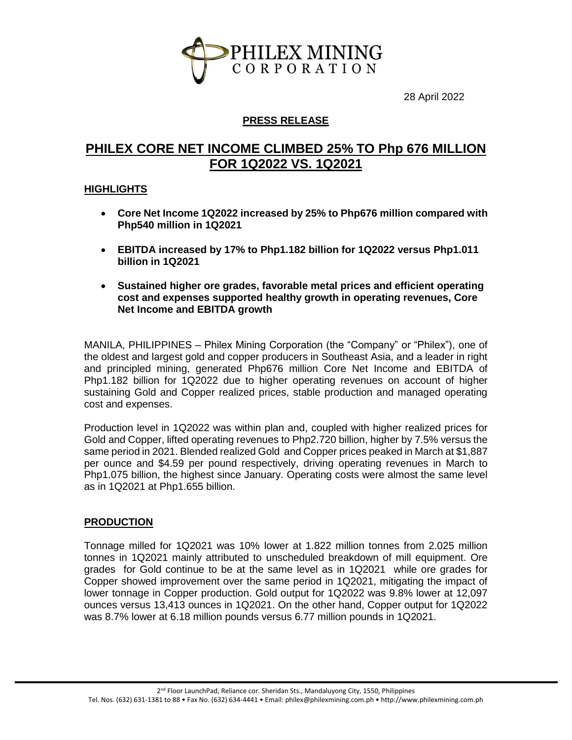

28 April 2022

#### **PRESS RELEASE**

## **PHILEX CORE NET INCOME CLIMBED 25% TO Php 676 MILLION FOR 1Q2022 VS. 1Q2021**

#### **HIGHLIGHTS**

- **Core Net Income 1Q2022 increased by 25% to Php676 million compared with Php540 million in 1Q2021**
- **EBITDA increased by 17% to Php1.182 billion for 1Q2022 versus Php1.011 billion in 1Q2021**
- **Sustained higher ore grades, favorable metal prices and efficient operating cost and expenses supported healthy growth in operating revenues, Core Net Income and EBITDA growth**

MANILA, PHILIPPINES – Philex Mining Corporation (the "Company" or "Philex"), one of the oldest and largest gold and copper producers in Southeast Asia, and a leader in right and principled mining, generated Php676 million Core Net Income and EBITDA of Php1.182 billion for 1Q2022 due to higher operating revenues on account of higher sustaining Gold and Copper realized prices, stable production and managed operating cost and expenses.

Production level in 1Q2022 was within plan and, coupled with higher realized prices for Gold and Copper, lifted operating revenues to Php2.720 billion, higher by 7.5% versus the same period in 2021. Blended realized Gold and Copper prices peaked in March at \$1,887 per ounce and \$4.59 per pound respectively, driving operating revenues in March to Php1.075 billion, the highest since January. Operating costs were almost the same level as in 1Q2021 at Php1.655 billion.

#### **PRODUCTION**

Tonnage milled for 1Q2021 was 10% lower at 1.822 million tonnes from 2.025 million tonnes in 1Q2021 mainly attributed to unscheduled breakdown of mill equipment. Ore grades for Gold continue to be at the same level as in 1Q2021 while ore grades for Copper showed improvement over the same period in 1Q2021, mitigating the impact of lower tonnage in Copper production. Gold output for 1Q2022 was 9.8% lower at 12,097 ounces versus 13,413 ounces in 1Q2021. On the other hand, Copper output for 1Q2022 was 8.7% lower at 6.18 million pounds versus 6.77 million pounds in 1Q2021.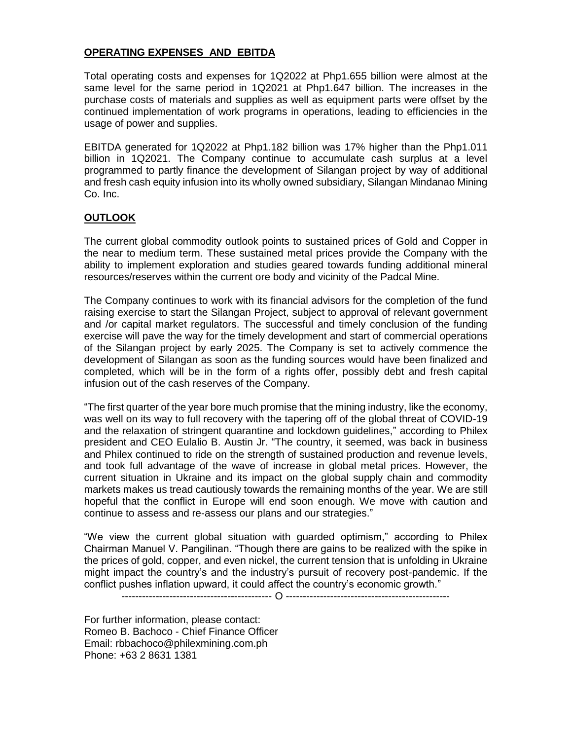#### **OPERATING EXPENSES AND EBITDA**

Total operating costs and expenses for 1Q2022 at Php1.655 billion were almost at the same level for the same period in 1Q2021 at Php1.647 billion. The increases in the purchase costs of materials and supplies as well as equipment parts were offset by the continued implementation of work programs in operations, leading to efficiencies in the usage of power and supplies.

EBITDA generated for 1Q2022 at Php1.182 billion was 17% higher than the Php1.011 billion in 1Q2021. The Company continue to accumulate cash surplus at a level programmed to partly finance the development of Silangan project by way of additional and fresh cash equity infusion into its wholly owned subsidiary, Silangan Mindanao Mining Co. Inc.

#### **OUTLOOK**

The current global commodity outlook points to sustained prices of Gold and Copper in the near to medium term. These sustained metal prices provide the Company with the ability to implement exploration and studies geared towards funding additional mineral resources/reserves within the current ore body and vicinity of the Padcal Mine.

The Company continues to work with its financial advisors for the completion of the fund raising exercise to start the Silangan Project, subject to approval of relevant government and /or capital market regulators. The successful and timely conclusion of the funding exercise will pave the way for the timely development and start of commercial operations of the Silangan project by early 2025. The Company is set to actively commence the development of Silangan as soon as the funding sources would have been finalized and completed, which will be in the form of a rights offer, possibly debt and fresh capital infusion out of the cash reserves of the Company.

"The first quarter of the year bore much promise that the mining industry, like the economy, was well on its way to full recovery with the tapering off of the global threat of COVID-19 and the relaxation of stringent quarantine and lockdown guidelines," according to Philex president and CEO Eulalio B. Austin Jr. "The country, it seemed, was back in business and Philex continued to ride on the strength of sustained production and revenue levels, and took full advantage of the wave of increase in global metal prices. However, the current situation in Ukraine and its impact on the global supply chain and commodity markets makes us tread cautiously towards the remaining months of the year. We are still hopeful that the conflict in Europe will end soon enough. We move with caution and continue to assess and re-assess our plans and our strategies."

"We view the current global situation with guarded optimism," according to Philex Chairman Manuel V. Pangilinan. "Though there are gains to be realized with the spike in the prices of gold, copper, and even nickel, the current tension that is unfolding in Ukraine might impact the country's and the industry's pursuit of recovery post-pandemic. If the conflict pushes inflation upward, it could affect the country's economic growth."

-------------------------------------------- O ------------------------------------------------

For further information, please contact: Romeo B. Bachoco - Chief Finance Officer Email: rbbachoco@philexmining.com.ph Phone: +63 2 8631 1381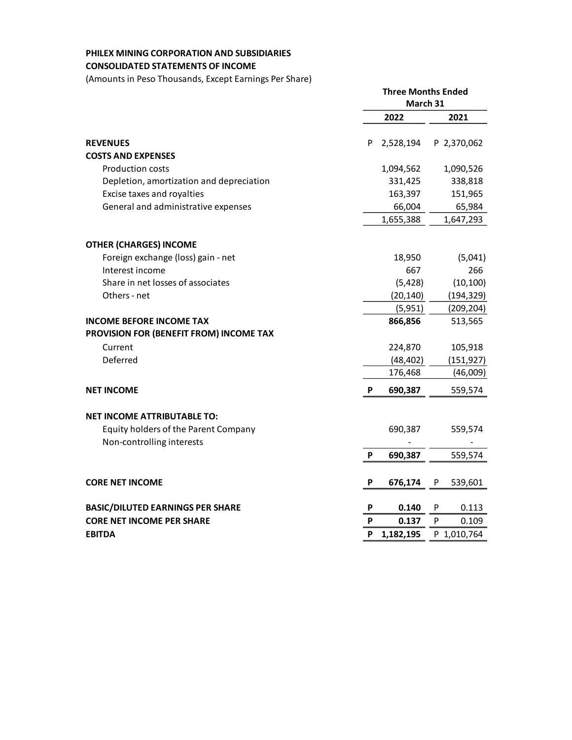#### **PHILEX MINING CORPORATION AND SUBSIDIARIES CONSOLIDATED STATEMENTS OF INCOME**

(Amounts in Peso Thousands, Except Earnings Per Share)

|                                                                   | <b>Three Months Ended</b><br>March 31 |           |   |             |
|-------------------------------------------------------------------|---------------------------------------|-----------|---|-------------|
|                                                                   |                                       | 2022      |   | 2021        |
| <b>REVENUES</b><br><b>COSTS AND EXPENSES</b>                      | P                                     | 2,528,194 |   | P 2,370,062 |
| <b>Production costs</b>                                           |                                       | 1,094,562 |   | 1,090,526   |
| Depletion, amortization and depreciation                          |                                       | 331,425   |   | 338,818     |
| Excise taxes and royalties                                        |                                       | 163,397   |   | 151,965     |
| General and administrative expenses                               |                                       | 66,004    |   | 65,984      |
|                                                                   |                                       | 1,655,388 |   | 1,647,293   |
| <b>OTHER (CHARGES) INCOME</b>                                     |                                       |           |   |             |
| Foreign exchange (loss) gain - net                                |                                       | 18,950    |   | (5,041)     |
| Interest income                                                   |                                       | 667       |   | 266         |
| Share in net losses of associates                                 |                                       | (5, 428)  |   | (10, 100)   |
| Others - net                                                      |                                       | (20, 140) |   | (194, 329)  |
|                                                                   |                                       | (5,951)   |   | (209, 204)  |
| <b>INCOME BEFORE INCOME TAX</b>                                   |                                       | 866,856   |   | 513,565     |
| PROVISION FOR (BENEFIT FROM) INCOME TAX                           |                                       |           |   |             |
| Current                                                           |                                       | 224,870   |   | 105,918     |
| Deferred                                                          |                                       | (48, 402) |   | (151, 927)  |
|                                                                   |                                       | 176,468   |   | (46,009)    |
| <b>NET INCOME</b>                                                 | P                                     | 690,387   |   | 559,574     |
| <b>NET INCOME ATTRIBUTABLE TO:</b>                                |                                       |           |   |             |
| Equity holders of the Parent Company<br>Non-controlling interests |                                       | 690,387   |   | 559,574     |
|                                                                   | P                                     | 690,387   |   | 559,574     |
| <b>CORE NET INCOME</b>                                            | P                                     | 676,174   | P | 539,601     |
| <b>BASIC/DILUTED EARNINGS PER SHARE</b>                           | P                                     | 0.140     | P | 0.113       |
| <b>CORE NET INCOME PER SHARE</b>                                  | P                                     | 0.137     | P | 0.109       |
| <b>EBITDA</b>                                                     | P                                     | 1,182,195 |   | P 1,010,764 |